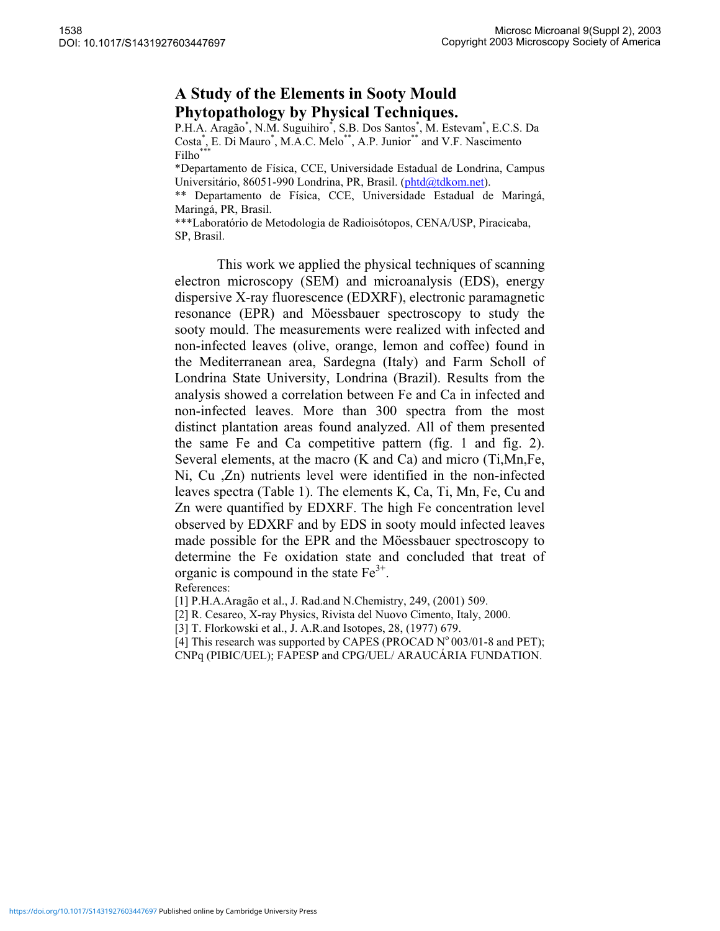## **A Study of the Elements in Sooty Mould Phytopathology by Physical Techniques.**

P.H.A. Aragão\*, N.M. Suguihiro\*, S.B. Dos Santos\*, M. Estevam\*, E.C.S. Da Costa<sup>\*</sup>, E. Di Mauro<sup>\*</sup>, M.A.C. Melo<sup>\*\*</sup>, A.P. Junior<sup>\*\*</sup> and V.F. Nascimento Filho\*

\*Departamento de Física, CCE, Universidade Estadual de Londrina, Campus Universitário, 86051-990 Londrina, PR, Brasil. (phtd@tdkom.net).

\*\* Departamento de Física, CCE, Universidade Estadual de Maringá, Maringá, PR, Brasil.

\*\*\*Laboratório de Metodologia de Radioisótopos, CENA/USP, Piracicaba, SP, Brasil.

This work we applied the physical techniques of scanning electron microscopy (SEM) and microanalysis (EDS), energy dispersive X-ray fluorescence (EDXRF), electronic paramagnetic resonance (EPR) and Möessbauer spectroscopy to study the sooty mould. The measurements were realized with infected and non-infected leaves (olive, orange, lemon and coffee) found in the Mediterranean area, Sardegna (Italy) and Farm Scholl of Londrina State University, Londrina (Brazil). Results from the analysis showed a correlation between Fe and Ca in infected and non-infected leaves. More than 300 spectra from the most distinct plantation areas found analyzed. All of them presented the same Fe and Ca competitive pattern (fig. 1 and fig. 2). Several elements, at the macro (K and Ca) and micro (Ti,Mn,Fe, Ni, Cu ,Zn) nutrients level were identified in the non-infected leaves spectra (Table 1). The elements K, Ca, Ti, Mn, Fe, Cu and Zn were quantified by EDXRF. The high Fe concentration level observed by EDXRF and by EDS in sooty mould infected leaves made possible for the EPR and the Möessbauer spectroscopy to determine the Fe oxidation state and concluded that treat of organic is compound in the state  $Fe<sup>3+</sup>$ .<br>References:

[1] P.H.A.Aragão et al., J. Rad.and N.Chemistry, 249, (2001) 509.

[2] R. Cesareo, X-ray Physics, Rivista del Nuovo Cimento, Italy, 2000.

[3] T. Florkowski et al., J. A.R.and Isotopes, 28, (1977) 679.

[4] This research was supported by CAPES (PROCAD  $N^{\circ}$  003/01-8 and PET);

CNPq (PIBIC/UEL); FAPESP and CPG/UEL/ ARAUCÁRIA FUNDATION.